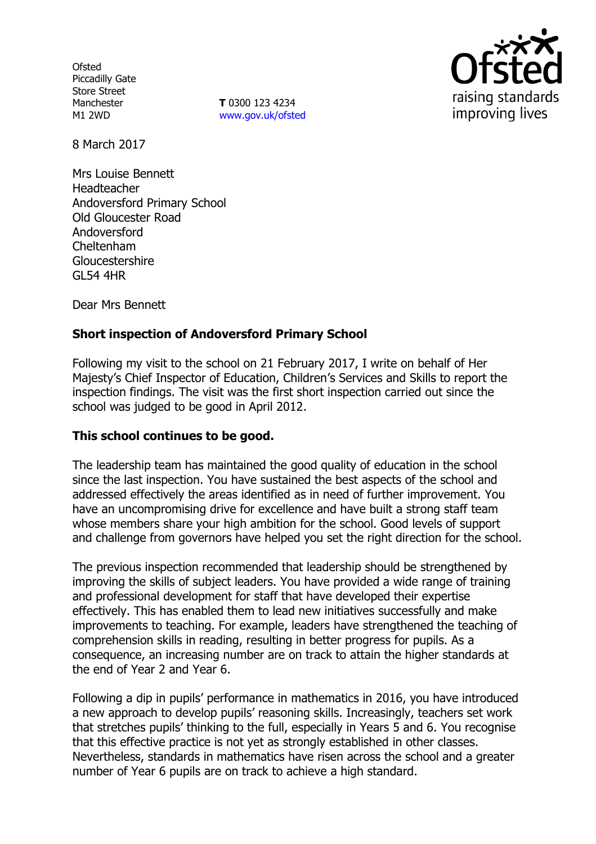**Ofsted** Piccadilly Gate Store Street Manchester M1 2WD

**T** 0300 123 4234 www.gov.uk/ofsted



8 March 2017

Mrs Louise Bennett Headteacher Andoversford Primary School Old Gloucester Road Andoversford Cheltenham Gloucestershire GL54 4HR

Dear Mrs Bennett

## **Short inspection of Andoversford Primary School**

Following my visit to the school on 21 February 2017, I write on behalf of Her Majesty's Chief Inspector of Education, Children's Services and Skills to report the inspection findings. The visit was the first short inspection carried out since the school was judged to be good in April 2012.

#### **This school continues to be good.**

The leadership team has maintained the good quality of education in the school since the last inspection. You have sustained the best aspects of the school and addressed effectively the areas identified as in need of further improvement. You have an uncompromising drive for excellence and have built a strong staff team whose members share your high ambition for the school. Good levels of support and challenge from governors have helped you set the right direction for the school.

The previous inspection recommended that leadership should be strengthened by improving the skills of subject leaders. You have provided a wide range of training and professional development for staff that have developed their expertise effectively. This has enabled them to lead new initiatives successfully and make improvements to teaching. For example, leaders have strengthened the teaching of comprehension skills in reading, resulting in better progress for pupils. As a consequence, an increasing number are on track to attain the higher standards at the end of Year 2 and Year 6.

Following a dip in pupils' performance in mathematics in 2016, you have introduced a new approach to develop pupils' reasoning skills. Increasingly, teachers set work that stretches pupils' thinking to the full, especially in Years 5 and 6. You recognise that this effective practice is not yet as strongly established in other classes. Nevertheless, standards in mathematics have risen across the school and a greater number of Year 6 pupils are on track to achieve a high standard.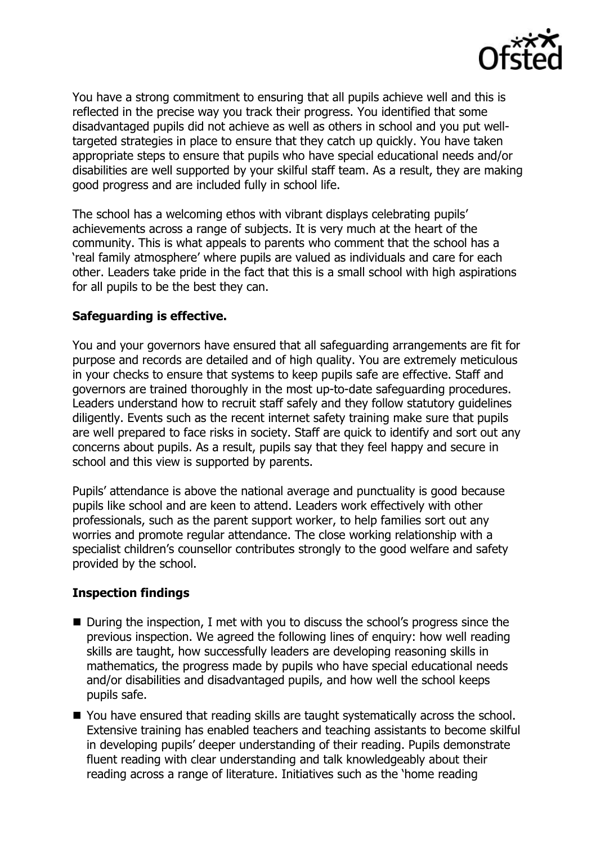

You have a strong commitment to ensuring that all pupils achieve well and this is reflected in the precise way you track their progress. You identified that some disadvantaged pupils did not achieve as well as others in school and you put welltargeted strategies in place to ensure that they catch up quickly. You have taken appropriate steps to ensure that pupils who have special educational needs and/or disabilities are well supported by your skilful staff team. As a result, they are making good progress and are included fully in school life.

The school has a welcoming ethos with vibrant displays celebrating pupils' achievements across a range of subjects. It is very much at the heart of the community. This is what appeals to parents who comment that the school has a 'real family atmosphere' where pupils are valued as individuals and care for each other. Leaders take pride in the fact that this is a small school with high aspirations for all pupils to be the best they can.

## **Safeguarding is effective.**

You and your governors have ensured that all safeguarding arrangements are fit for purpose and records are detailed and of high quality. You are extremely meticulous in your checks to ensure that systems to keep pupils safe are effective. Staff and governors are trained thoroughly in the most up-to-date safeguarding procedures. Leaders understand how to recruit staff safely and they follow statutory guidelines diligently. Events such as the recent internet safety training make sure that pupils are well prepared to face risks in society. Staff are quick to identify and sort out any concerns about pupils. As a result, pupils say that they feel happy and secure in school and this view is supported by parents.

Pupils' attendance is above the national average and punctuality is good because pupils like school and are keen to attend. Leaders work effectively with other professionals, such as the parent support worker, to help families sort out any worries and promote regular attendance. The close working relationship with a specialist children's counsellor contributes strongly to the good welfare and safety provided by the school.

# **Inspection findings**

- During the inspection, I met with you to discuss the school's progress since the previous inspection. We agreed the following lines of enquiry: how well reading skills are taught, how successfully leaders are developing reasoning skills in mathematics, the progress made by pupils who have special educational needs and/or disabilities and disadvantaged pupils, and how well the school keeps pupils safe.
- You have ensured that reading skills are taught systematically across the school. Extensive training has enabled teachers and teaching assistants to become skilful in developing pupils' deeper understanding of their reading. Pupils demonstrate fluent reading with clear understanding and talk knowledgeably about their reading across a range of literature. Initiatives such as the 'home reading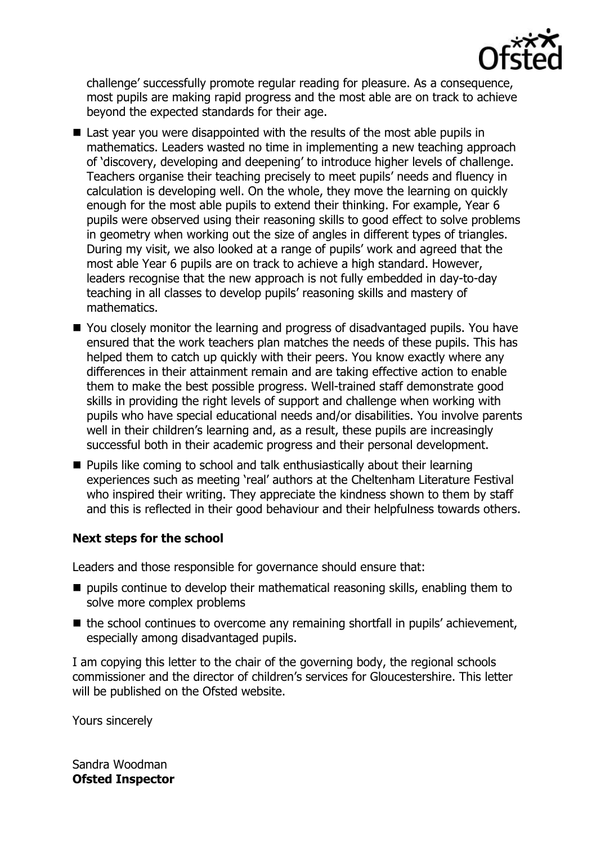

challenge' successfully promote regular reading for pleasure. As a consequence, most pupils are making rapid progress and the most able are on track to achieve beyond the expected standards for their age.

- Last year you were disappointed with the results of the most able pupils in mathematics. Leaders wasted no time in implementing a new teaching approach of 'discovery, developing and deepening' to introduce higher levels of challenge. Teachers organise their teaching precisely to meet pupils' needs and fluency in calculation is developing well. On the whole, they move the learning on quickly enough for the most able pupils to extend their thinking. For example, Year 6 pupils were observed using their reasoning skills to good effect to solve problems in geometry when working out the size of angles in different types of triangles. During my visit, we also looked at a range of pupils' work and agreed that the most able Year 6 pupils are on track to achieve a high standard. However, leaders recognise that the new approach is not fully embedded in day-to-day teaching in all classes to develop pupils' reasoning skills and mastery of mathematics.
- You closely monitor the learning and progress of disadvantaged pupils. You have ensured that the work teachers plan matches the needs of these pupils. This has helped them to catch up quickly with their peers. You know exactly where any differences in their attainment remain and are taking effective action to enable them to make the best possible progress. Well-trained staff demonstrate good skills in providing the right levels of support and challenge when working with pupils who have special educational needs and/or disabilities. You involve parents well in their children's learning and, as a result, these pupils are increasingly successful both in their academic progress and their personal development.
- **Pupils like coming to school and talk enthusiastically about their learning** experiences such as meeting 'real' authors at the Cheltenham Literature Festival who inspired their writing. They appreciate the kindness shown to them by staff and this is reflected in their good behaviour and their helpfulness towards others.

# **Next steps for the school**

Leaders and those responsible for governance should ensure that:

- pupils continue to develop their mathematical reasoning skills, enabling them to solve more complex problems
- $\blacksquare$  the school continues to overcome any remaining shortfall in pupils' achievement, especially among disadvantaged pupils.

I am copying this letter to the chair of the governing body, the regional schools commissioner and the director of children's services for Gloucestershire. This letter will be published on the Ofsted website.

Yours sincerely

Sandra Woodman **Ofsted Inspector**